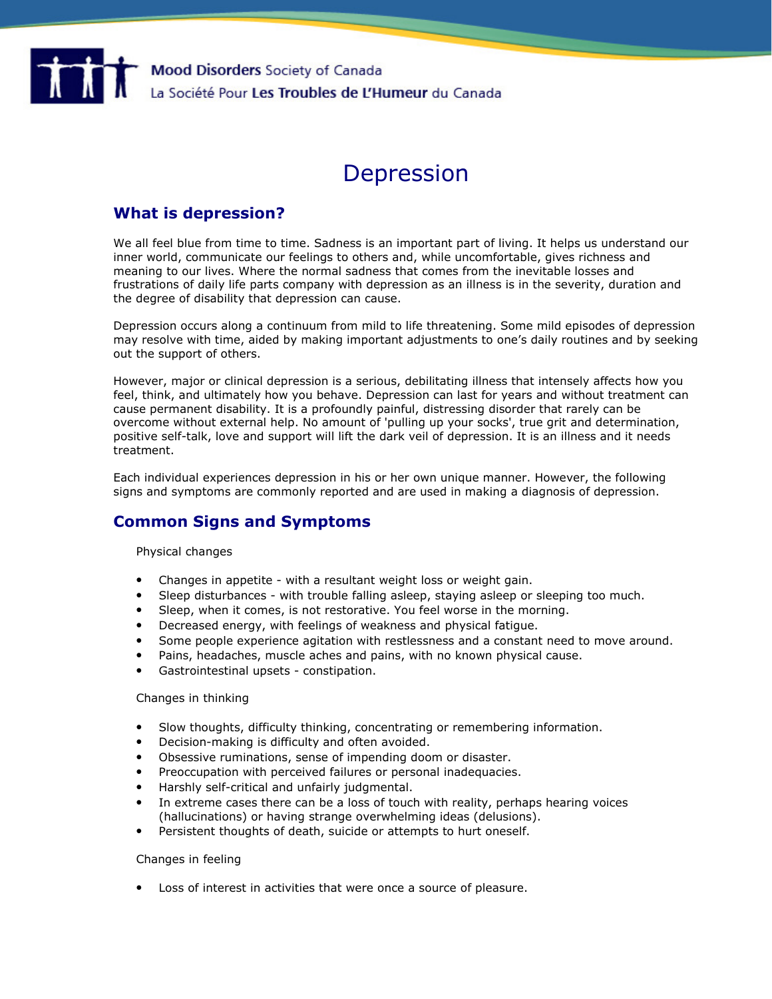

# Depression

# What is depression?

We all feel blue from time to time. Sadness is an important part of living. It helps us understand our inner world, communicate our feelings to others and, while uncomfortable, gives richness and meaning to our lives. Where the normal sadness that comes from the inevitable losses and frustrations of daily life parts company with depression as an illness is in the severity, duration and the degree of disability that depression can cause.

Depression occurs along a continuum from mild to life threatening. Some mild episodes of depression may resolve with time, aided by making important adjustments to one's daily routines and by seeking out the support of others.

However, major or clinical depression is a serious, debilitating illness that intensely affects how you feel, think, and ultimately how you behave. Depression can last for years and without treatment can cause permanent disability. It is a profoundly painful, distressing disorder that rarely can be overcome without external help. No amount of 'pulling up your socks', true grit and determination, positive self-talk, love and support will lift the dark veil of depression. It is an illness and it needs treatment.

Each individual experiences depression in his or her own unique manner. However, the following signs and symptoms are commonly reported and are used in making a diagnosis of depression.

# Common Signs and Symptoms

Physical changes

- Changes in appetite with a resultant weight loss or weight gain.
- Sleep disturbances with trouble falling asleep, staying asleep or sleeping too much.
- Sleep, when it comes, is not restorative. You feel worse in the morning.
- Decreased energy, with feelings of weakness and physical fatigue.
- Some people experience agitation with restlessness and a constant need to move around.
- Pains, headaches, muscle aches and pains, with no known physical cause.
- Gastrointestinal upsets constipation.

### Changes in thinking

- Slow thoughts, difficulty thinking, concentrating or remembering information.
- Decision-making is difficulty and often avoided.
- Obsessive ruminations, sense of impending doom or disaster.
- Preoccupation with perceived failures or personal inadequacies.
- Harshly self-critical and unfairly judgmental.
- In extreme cases there can be a loss of touch with reality, perhaps hearing voices (hallucinations) or having strange overwhelming ideas (delusions).
- Persistent thoughts of death, suicide or attempts to hurt oneself.

### Changes in feeling

• Loss of interest in activities that were once a source of pleasure.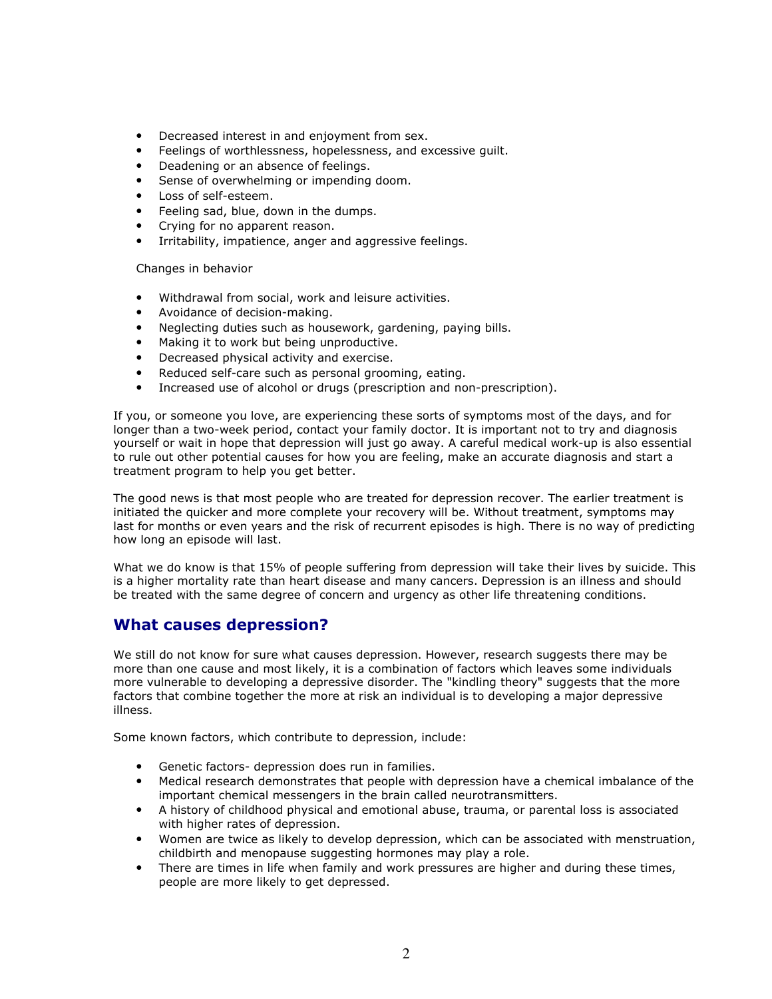- Decreased interest in and enjoyment from sex.
- Feelings of worthlessness, hopelessness, and excessive guilt.
- Deadening or an absence of feelings.
- Sense of overwhelming or impending doom.
- Loss of self-esteem.
- Feeling sad, blue, down in the dumps.
- Crying for no apparent reason.
- Irritability, impatience, anger and aggressive feelings.

Changes in behavior

- Withdrawal from social, work and leisure activities.
- Avoidance of decision-making.
- Neglecting duties such as housework, gardening, paying bills.
- Making it to work but being unproductive.
- Decreased physical activity and exercise.
- Reduced self-care such as personal grooming, eating.
- Increased use of alcohol or drugs (prescription and non-prescription).

If you, or someone you love, are experiencing these sorts of symptoms most of the days, and for longer than a two-week period, contact your family doctor. It is important not to try and diagnosis yourself or wait in hope that depression will just go away. A careful medical work-up is also essential to rule out other potential causes for how you are feeling, make an accurate diagnosis and start a treatment program to help you get better.

The good news is that most people who are treated for depression recover. The earlier treatment is initiated the quicker and more complete your recovery will be. Without treatment, symptoms may last for months or even years and the risk of recurrent episodes is high. There is no way of predicting how long an episode will last.

What we do know is that 15% of people suffering from depression will take their lives by suicide. This is a higher mortality rate than heart disease and many cancers. Depression is an illness and should be treated with the same degree of concern and urgency as other life threatening conditions.

# What causes depression?

We still do not know for sure what causes depression. However, research suggests there may be more than one cause and most likely, it is a combination of factors which leaves some individuals more vulnerable to developing a depressive disorder. The "kindling theory" suggests that the more factors that combine together the more at risk an individual is to developing a major depressive illness.

Some known factors, which contribute to depression, include:

- Genetic factors- depression does run in families.
- Medical research demonstrates that people with depression have a chemical imbalance of the important chemical messengers in the brain called neurotransmitters.
- A history of childhood physical and emotional abuse, trauma, or parental loss is associated with higher rates of depression.
- Women are twice as likely to develop depression, which can be associated with menstruation, childbirth and menopause suggesting hormones may play a role.
- There are times in life when family and work pressures are higher and during these times, people are more likely to get depressed.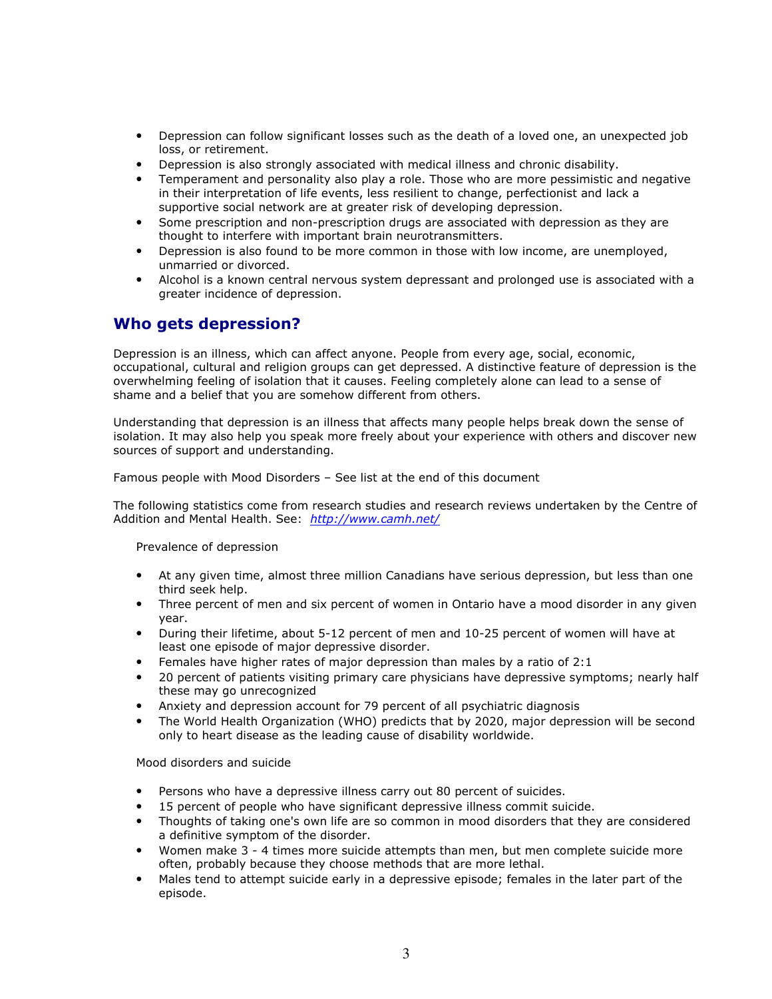- Depression can follow significant losses such as the death of a loved one, an unexpected job loss, or retirement.
- Depression is also strongly associated with medical illness and chronic disability.
- Temperament and personality also play a role. Those who are more pessimistic and negative in their interpretation of life events, less resilient to change, perfectionist and lack a supportive social network are at greater risk of developing depression.
- Some prescription and non-prescription drugs are associated with depression as they are thought to interfere with important brain neurotransmitters.
- Depression is also found to be more common in those with low income, are unemployed, unmarried or divorced.
- Alcohol is a known central nervous system depressant and prolonged use is associated with a greater incidence of depression.

# Who gets depression?

Depression is an illness, which can affect anyone. People from every age, social, economic, occupational, cultural and religion groups can get depressed. A distinctive feature of depression is the overwhelming feeling of isolation that it causes. Feeling completely alone can lead to a sense of shame and a belief that you are somehow different from others.

Understanding that depression is an illness that affects many people helps break down the sense of isolation. It may also help you speak more freely about your experience with others and discover new sources of support and understanding.

Famous people with Mood Disorders – See list at the end of this document

The following statistics come from research studies and research reviews undertaken by the Centre of Addition and Mental Health. See: http://www.camh.net/

Prevalence of depression

- At any given time, almost three million Canadians have serious depression, but less than one third seek help.
- Three percent of men and six percent of women in Ontario have a mood disorder in any given year.
- During their lifetime, about 5-12 percent of men and 10-25 percent of women will have at least one episode of major depressive disorder.
- Females have higher rates of major depression than males by a ratio of 2:1
- 20 percent of patients visiting primary care physicians have depressive symptoms; nearly half these may go unrecognized
- Anxiety and depression account for 79 percent of all psychiatric diagnosis
- The World Health Organization (WHO) predicts that by 2020, major depression will be second only to heart disease as the leading cause of disability worldwide.

Mood disorders and suicide

- Persons who have a depressive illness carry out 80 percent of suicides.
- 15 percent of people who have significant depressive illness commit suicide.
- Thoughts of taking one's own life are so common in mood disorders that they are considered a definitive symptom of the disorder.
- Women make 3 4 times more suicide attempts than men, but men complete suicide more often, probably because they choose methods that are more lethal.
- Males tend to attempt suicide early in a depressive episode; females in the later part of the episode.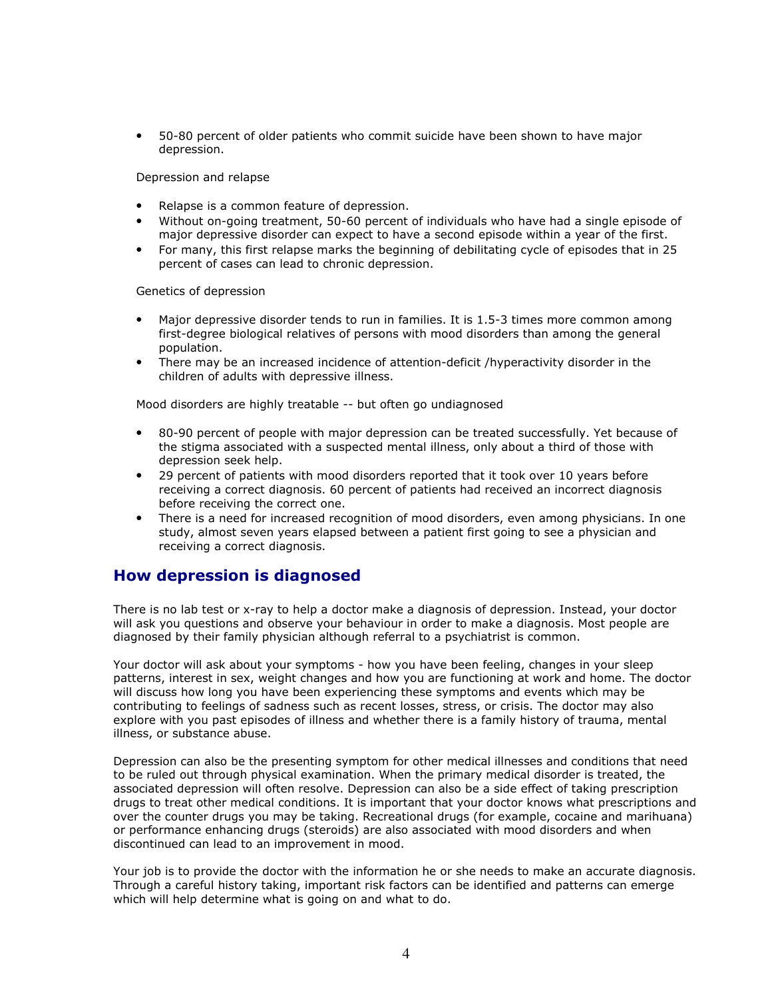• 50-80 percent of older patients who commit suicide have been shown to have major depression.

Depression and relapse

- Relapse is a common feature of depression.
- Without on-going treatment, 50-60 percent of individuals who have had a single episode of major depressive disorder can expect to have a second episode within a year of the first.
- For many, this first relapse marks the beginning of debilitating cycle of episodes that in 25 percent of cases can lead to chronic depression.

Genetics of depression

- Major depressive disorder tends to run in families. It is 1.5-3 times more common among first-degree biological relatives of persons with mood disorders than among the general population.
- There may be an increased incidence of attention-deficit /hyperactivity disorder in the children of adults with depressive illness.

Mood disorders are highly treatable -- but often go undiagnosed

- 80-90 percent of people with major depression can be treated successfully. Yet because of the stigma associated with a suspected mental illness, only about a third of those with depression seek help.
- 29 percent of patients with mood disorders reported that it took over 10 years before receiving a correct diagnosis. 60 percent of patients had received an incorrect diagnosis before receiving the correct one.
- There is a need for increased recognition of mood disorders, even among physicians. In one study, almost seven years elapsed between a patient first going to see a physician and receiving a correct diagnosis.

# How depression is diagnosed

There is no lab test or x-ray to help a doctor make a diagnosis of depression. Instead, your doctor will ask you questions and observe your behaviour in order to make a diagnosis. Most people are diagnosed by their family physician although referral to a psychiatrist is common.

Your doctor will ask about your symptoms - how you have been feeling, changes in your sleep patterns, interest in sex, weight changes and how you are functioning at work and home. The doctor will discuss how long you have been experiencing these symptoms and events which may be contributing to feelings of sadness such as recent losses, stress, or crisis. The doctor may also explore with you past episodes of illness and whether there is a family history of trauma, mental illness, or substance abuse.

Depression can also be the presenting symptom for other medical illnesses and conditions that need to be ruled out through physical examination. When the primary medical disorder is treated, the associated depression will often resolve. Depression can also be a side effect of taking prescription drugs to treat other medical conditions. It is important that your doctor knows what prescriptions and over the counter drugs you may be taking. Recreational drugs (for example, cocaine and marihuana) or performance enhancing drugs (steroids) are also associated with mood disorders and when discontinued can lead to an improvement in mood.

Your job is to provide the doctor with the information he or she needs to make an accurate diagnosis. Through a careful history taking, important risk factors can be identified and patterns can emerge which will help determine what is going on and what to do.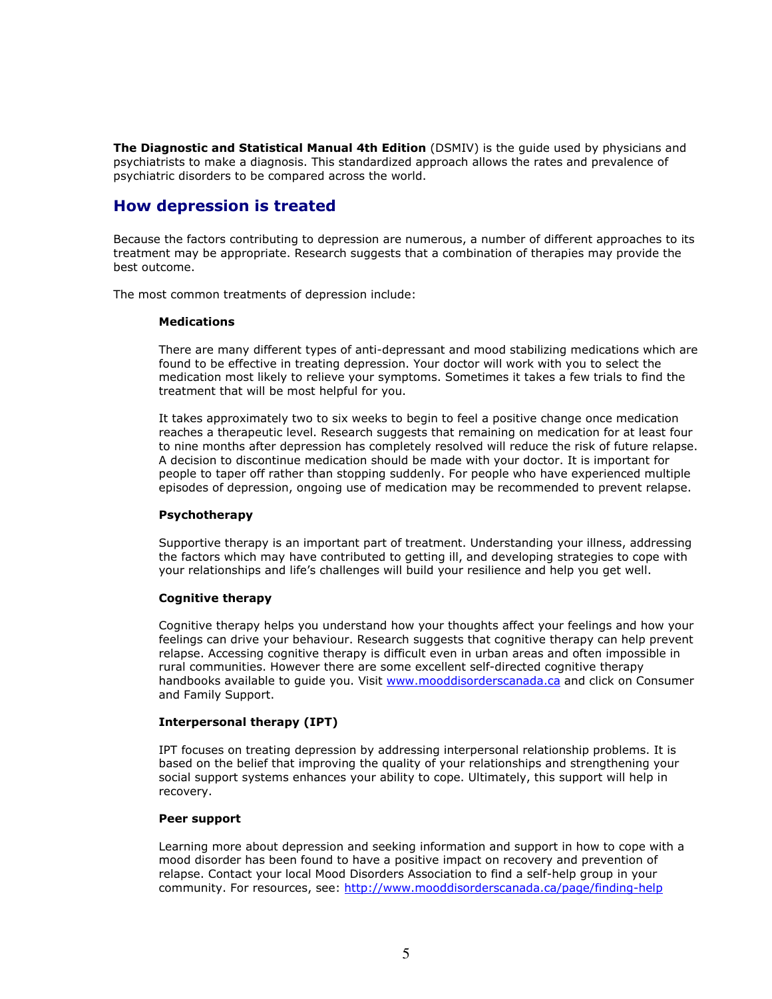The Diagnostic and Statistical Manual 4th Edition (DSMIV) is the quide used by physicians and psychiatrists to make a diagnosis. This standardized approach allows the rates and prevalence of psychiatric disorders to be compared across the world.

# How depression is treated

Because the factors contributing to depression are numerous, a number of different approaches to its treatment may be appropriate. Research suggests that a combination of therapies may provide the best outcome.

The most common treatments of depression include:

# **Medications**

There are many different types of anti-depressant and mood stabilizing medications which are found to be effective in treating depression. Your doctor will work with you to select the medication most likely to relieve your symptoms. Sometimes it takes a few trials to find the treatment that will be most helpful for you.

It takes approximately two to six weeks to begin to feel a positive change once medication reaches a therapeutic level. Research suggests that remaining on medication for at least four to nine months after depression has completely resolved will reduce the risk of future relapse. A decision to discontinue medication should be made with your doctor. It is important for people to taper off rather than stopping suddenly. For people who have experienced multiple episodes of depression, ongoing use of medication may be recommended to prevent relapse.

# Psychotherapy

Supportive therapy is an important part of treatment. Understanding your illness, addressing the factors which may have contributed to getting ill, and developing strategies to cope with your relationships and life's challenges will build your resilience and help you get well.

# Cognitive therapy

Cognitive therapy helps you understand how your thoughts affect your feelings and how your feelings can drive your behaviour. Research suggests that cognitive therapy can help prevent relapse. Accessing cognitive therapy is difficult even in urban areas and often impossible in rural communities. However there are some excellent self-directed cognitive therapy handbooks available to guide you. Visit www.mooddisorderscanada.ca and click on Consumer and Family Support.

# Interpersonal therapy (IPT)

IPT focuses on treating depression by addressing interpersonal relationship problems. It is based on the belief that improving the quality of your relationships and strengthening your social support systems enhances your ability to cope. Ultimately, this support will help in recovery.

# Peer support

Learning more about depression and seeking information and support in how to cope with a mood disorder has been found to have a positive impact on recovery and prevention of relapse. Contact your local Mood Disorders Association to find a self-help group in your community. For resources, see: http://www.mooddisorderscanada.ca/page/finding-help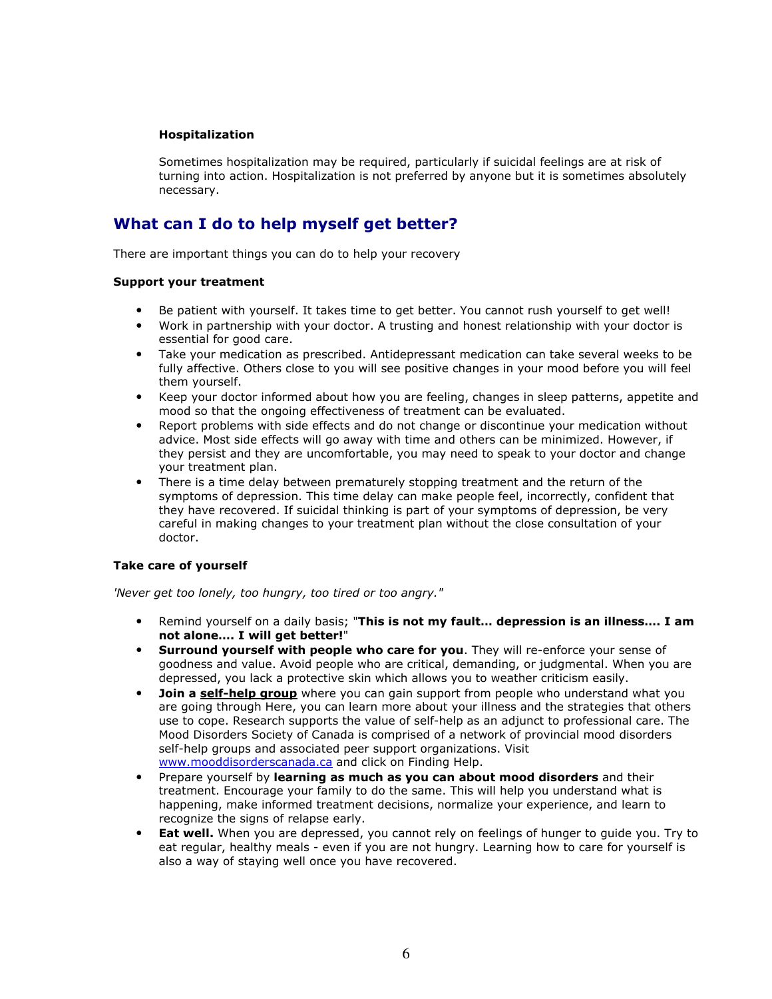# Hospitalization

Sometimes hospitalization may be required, particularly if suicidal feelings are at risk of turning into action. Hospitalization is not preferred by anyone but it is sometimes absolutely necessary.

# What can I do to help myself get better?

There are important things you can do to help your recovery

# Support your treatment

- Be patient with yourself. It takes time to get better. You cannot rush yourself to get well!
- Work in partnership with your doctor. A trusting and honest relationship with your doctor is essential for good care.
- Take your medication as prescribed. Antidepressant medication can take several weeks to be fully affective. Others close to you will see positive changes in your mood before you will feel them yourself.
- Keep your doctor informed about how you are feeling, changes in sleep patterns, appetite and mood so that the ongoing effectiveness of treatment can be evaluated.
- Report problems with side effects and do not change or discontinue your medication without advice. Most side effects will go away with time and others can be minimized. However, if they persist and they are uncomfortable, you may need to speak to your doctor and change your treatment plan.
- There is a time delay between prematurely stopping treatment and the return of the symptoms of depression. This time delay can make people feel, incorrectly, confident that they have recovered. If suicidal thinking is part of your symptoms of depression, be very careful in making changes to your treatment plan without the close consultation of your doctor.

# Take care of yourself

'Never get too lonely, too hungry, too tired or too angry."

- Remind yourself on a daily basis; "This is not my fault... depression is an illness.... I am not alone…. I will get better!"
- Surround yourself with people who care for you. They will re-enforce your sense of goodness and value. Avoid people who are critical, demanding, or judgmental. When you are depressed, you lack a protective skin which allows you to weather criticism easily.
- **Join a self-help group** where you can gain support from people who understand what you are going through Here, you can learn more about your illness and the strategies that others use to cope. Research supports the value of self-help as an adjunct to professional care. The Mood Disorders Society of Canada is comprised of a network of provincial mood disorders self-help groups and associated peer support organizations. Visit www.mooddisorderscanada.ca and click on Finding Help.
- Prepare yourself by learning as much as you can about mood disorders and their treatment. Encourage your family to do the same. This will help you understand what is happening, make informed treatment decisions, normalize your experience, and learn to recognize the signs of relapse early.
- **Eat well.** When you are depressed, you cannot rely on feelings of hunger to guide you. Try to eat regular, healthy meals - even if you are not hungry. Learning how to care for yourself is also a way of staying well once you have recovered.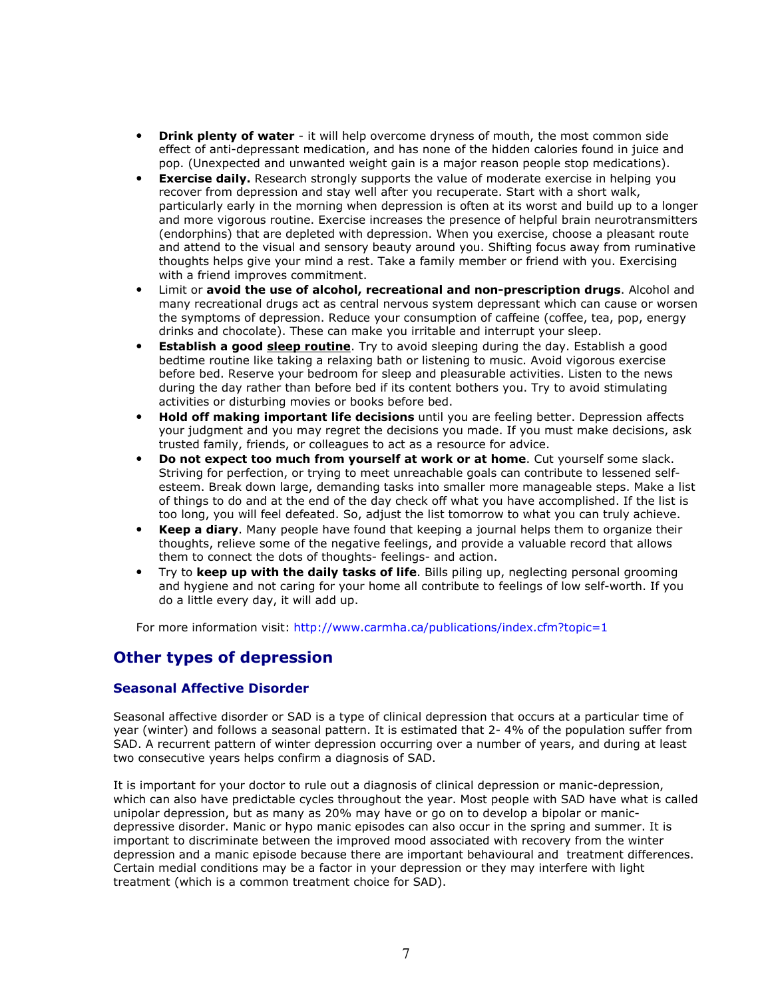- Drink plenty of water it will help overcome dryness of mouth, the most common side effect of anti-depressant medication, and has none of the hidden calories found in juice and pop. (Unexpected and unwanted weight gain is a major reason people stop medications).
- Exercise daily. Research strongly supports the value of moderate exercise in helping you recover from depression and stay well after you recuperate. Start with a short walk, particularly early in the morning when depression is often at its worst and build up to a longer and more vigorous routine. Exercise increases the presence of helpful brain neurotransmitters (endorphins) that are depleted with depression. When you exercise, choose a pleasant route and attend to the visual and sensory beauty around you. Shifting focus away from ruminative thoughts helps give your mind a rest. Take a family member or friend with you. Exercising with a friend improves commitment.
- Limit or avoid the use of alcohol, recreational and non-prescription drugs. Alcohol and many recreational drugs act as central nervous system depressant which can cause or worsen the symptoms of depression. Reduce your consumption of caffeine (coffee, tea, pop, energy drinks and chocolate). These can make you irritable and interrupt your sleep.
- **Establish a good sleep routine**. Try to avoid sleeping during the day. Establish a good bedtime routine like taking a relaxing bath or listening to music. Avoid vigorous exercise before bed. Reserve your bedroom for sleep and pleasurable activities. Listen to the news during the day rather than before bed if its content bothers you. Try to avoid stimulating activities or disturbing movies or books before bed.
- **Hold off making important life decisions** until you are feeling better. Depression affects your judgment and you may regret the decisions you made. If you must make decisions, ask trusted family, friends, or colleagues to act as a resource for advice.
- Do not expect too much from yourself at work or at home. Cut yourself some slack. Striving for perfection, or trying to meet unreachable goals can contribute to lessened selfesteem. Break down large, demanding tasks into smaller more manageable steps. Make a list of things to do and at the end of the day check off what you have accomplished. If the list is too long, you will feel defeated. So, adjust the list tomorrow to what you can truly achieve.
- **Keep a diary.** Many people have found that keeping a journal helps them to organize their thoughts, relieve some of the negative feelings, and provide a valuable record that allows them to connect the dots of thoughts- feelings- and action.
- Try to keep up with the daily tasks of life. Bills piling up, neglecting personal grooming and hygiene and not caring for your home all contribute to feelings of low self-worth. If you do a little every day, it will add up.

For more information visit: http://www.carmha.ca/publications/index.cfm?topic=1

# Other types of depression

# Seasonal Affective Disorder

Seasonal affective disorder or SAD is a type of clinical depression that occurs at a particular time of year (winter) and follows a seasonal pattern. It is estimated that 2- 4% of the population suffer from SAD. A recurrent pattern of winter depression occurring over a number of years, and during at least two consecutive years helps confirm a diagnosis of SAD.

It is important for your doctor to rule out a diagnosis of clinical depression or manic-depression, which can also have predictable cycles throughout the year. Most people with SAD have what is called unipolar depression, but as many as 20% may have or go on to develop a bipolar or manicdepressive disorder. Manic or hypo manic episodes can also occur in the spring and summer. It is important to discriminate between the improved mood associated with recovery from the winter depression and a manic episode because there are important behavioural and treatment differences. Certain medial conditions may be a factor in your depression or they may interfere with light treatment (which is a common treatment choice for SAD).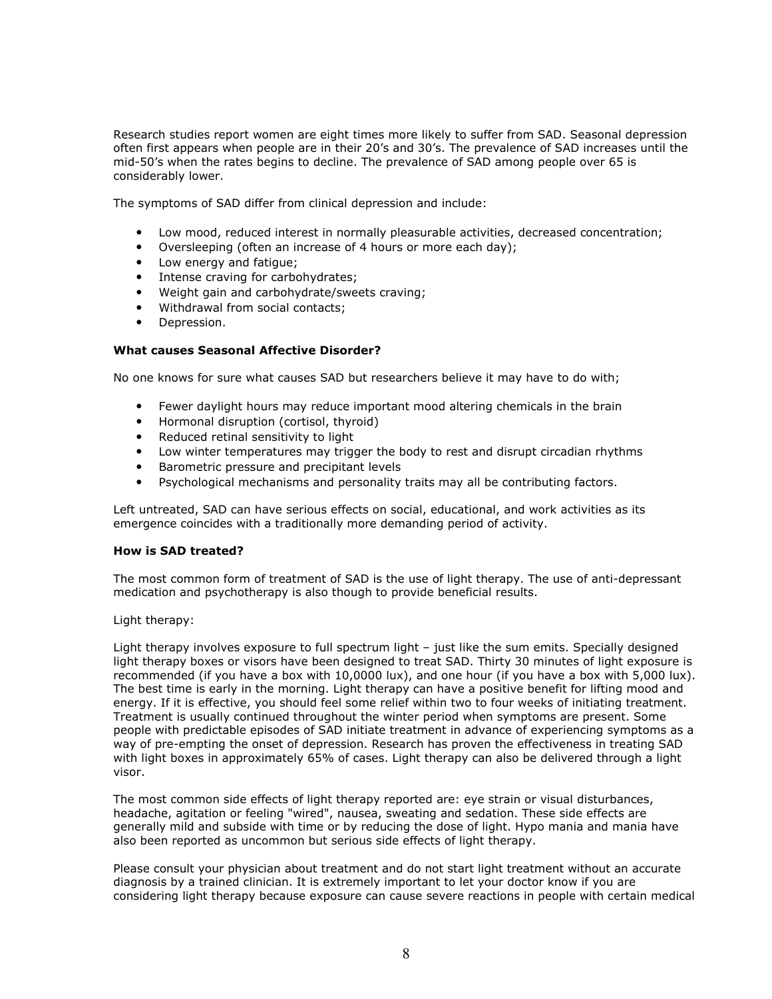Research studies report women are eight times more likely to suffer from SAD. Seasonal depression often first appears when people are in their 20's and 30's. The prevalence of SAD increases until the mid-50's when the rates begins to decline. The prevalence of SAD among people over 65 is considerably lower.

The symptoms of SAD differ from clinical depression and include:

- Low mood, reduced interest in normally pleasurable activities, decreased concentration;
- Oversleeping (often an increase of 4 hours or more each day);
- Low energy and fatigue;
- Intense craving for carbohydrates;
- Weight gain and carbohydrate/sweets craving;
- Withdrawal from social contacts;
- Depression.

### What causes Seasonal Affective Disorder?

No one knows for sure what causes SAD but researchers believe it may have to do with;

- Fewer daylight hours may reduce important mood altering chemicals in the brain
- Hormonal disruption (cortisol, thyroid)
- Reduced retinal sensitivity to light
- Low winter temperatures may trigger the body to rest and disrupt circadian rhythms
- Barometric pressure and precipitant levels
- Psychological mechanisms and personality traits may all be contributing factors.

Left untreated, SAD can have serious effects on social, educational, and work activities as its emergence coincides with a traditionally more demanding period of activity.

### How is SAD treated?

The most common form of treatment of SAD is the use of light therapy. The use of anti-depressant medication and psychotherapy is also though to provide beneficial results.

### Light therapy:

Light therapy involves exposure to full spectrum light – just like the sum emits. Specially designed light therapy boxes or visors have been designed to treat SAD. Thirty 30 minutes of light exposure is recommended (if you have a box with 10,0000 lux), and one hour (if you have a box with 5,000 lux). The best time is early in the morning. Light therapy can have a positive benefit for lifting mood and energy. If it is effective, you should feel some relief within two to four weeks of initiating treatment. Treatment is usually continued throughout the winter period when symptoms are present. Some people with predictable episodes of SAD initiate treatment in advance of experiencing symptoms as a way of pre-empting the onset of depression. Research has proven the effectiveness in treating SAD with light boxes in approximately 65% of cases. Light therapy can also be delivered through a light visor.

The most common side effects of light therapy reported are: eye strain or visual disturbances, headache, agitation or feeling "wired", nausea, sweating and sedation. These side effects are generally mild and subside with time or by reducing the dose of light. Hypo mania and mania have also been reported as uncommon but serious side effects of light therapy.

Please consult your physician about treatment and do not start light treatment without an accurate diagnosis by a trained clinician. It is extremely important to let your doctor know if you are considering light therapy because exposure can cause severe reactions in people with certain medical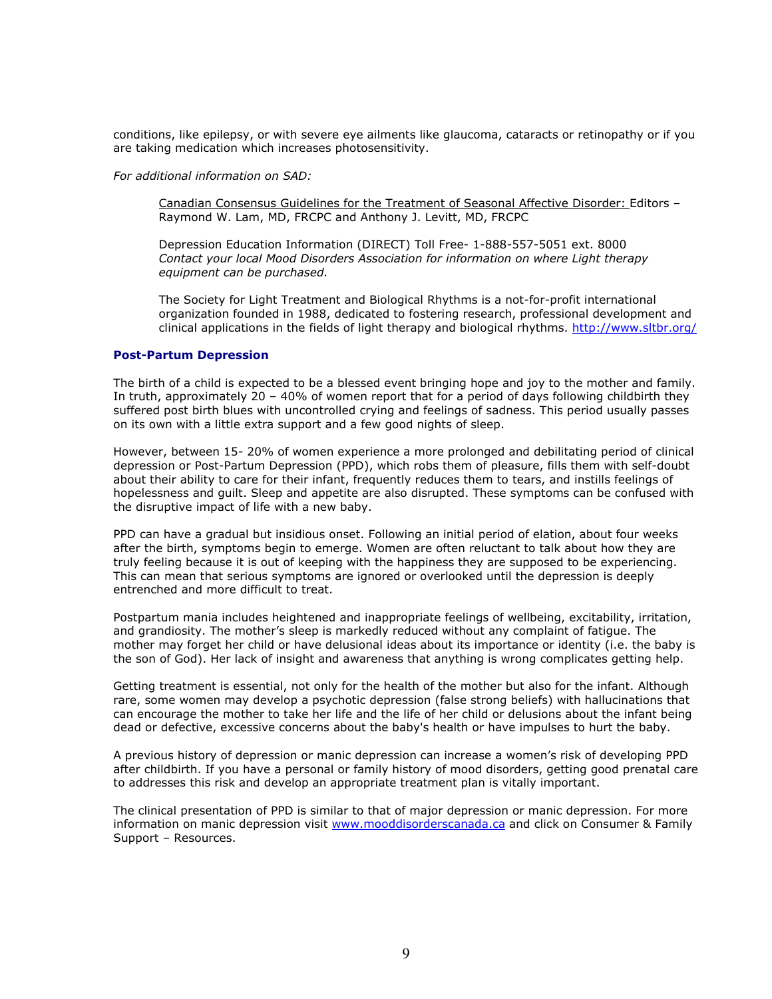conditions, like epilepsy, or with severe eye ailments like glaucoma, cataracts or retinopathy or if you are taking medication which increases photosensitivity.

For additional information on SAD:

Canadian Consensus Guidelines for the Treatment of Seasonal Affective Disorder: Editors – Raymond W. Lam, MD, FRCPC and Anthony J. Levitt, MD, FRCPC

Depression Education Information (DIRECT) Toll Free- 1-888-557-5051 ext. 8000 Contact your local Mood Disorders Association for information on where Light therapy equipment can be purchased.

The Society for Light Treatment and Biological Rhythms is a not-for-profit international organization founded in 1988, dedicated to fostering research, professional development and clinical applications in the fields of light therapy and biological rhythms. http://www.sltbr.org/

#### Post-Partum Depression

The birth of a child is expected to be a blessed event bringing hope and joy to the mother and family. In truth, approximately 20 – 40% of women report that for a period of days following childbirth they suffered post birth blues with uncontrolled crying and feelings of sadness. This period usually passes on its own with a little extra support and a few good nights of sleep.

However, between 15- 20% of women experience a more prolonged and debilitating period of clinical depression or Post-Partum Depression (PPD), which robs them of pleasure, fills them with self-doubt about their ability to care for their infant, frequently reduces them to tears, and instills feelings of hopelessness and guilt. Sleep and appetite are also disrupted. These symptoms can be confused with the disruptive impact of life with a new baby.

PPD can have a gradual but insidious onset. Following an initial period of elation, about four weeks after the birth, symptoms begin to emerge. Women are often reluctant to talk about how they are truly feeling because it is out of keeping with the happiness they are supposed to be experiencing. This can mean that serious symptoms are ignored or overlooked until the depression is deeply entrenched and more difficult to treat.

Postpartum mania includes heightened and inappropriate feelings of wellbeing, excitability, irritation, and grandiosity. The mother's sleep is markedly reduced without any complaint of fatigue. The mother may forget her child or have delusional ideas about its importance or identity (i.e. the baby is the son of God). Her lack of insight and awareness that anything is wrong complicates getting help.

Getting treatment is essential, not only for the health of the mother but also for the infant. Although rare, some women may develop a psychotic depression (false strong beliefs) with hallucinations that can encourage the mother to take her life and the life of her child or delusions about the infant being dead or defective, excessive concerns about the baby's health or have impulses to hurt the baby.

A previous history of depression or manic depression can increase a women's risk of developing PPD after childbirth. If you have a personal or family history of mood disorders, getting good prenatal care to addresses this risk and develop an appropriate treatment plan is vitally important.

The clinical presentation of PPD is similar to that of major depression or manic depression. For more information on manic depression visit www.mooddisorderscanada.ca and click on Consumer & Family Support – Resources.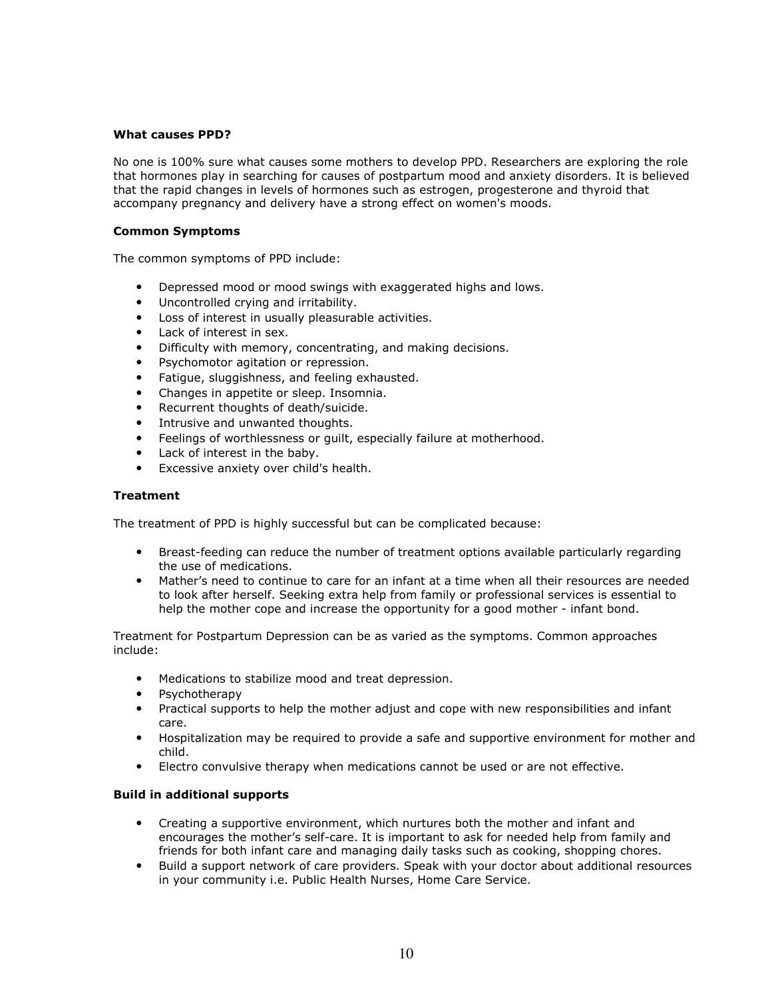### What causes PPD?

No one is 100% sure what causes some mothers to develop PPD. Researchers are exploring the role that hormones play in searching for causes of postpartum mood and anxiety disorders. It is believed that the rapid changes in levels of hormones such as estrogen, progesterone and thyroid that accompany pregnancy and delivery have a strong effect on women's moods.

### Common Symptoms

The common symptoms of PPD include:

- Depressed mood or mood swings with exaggerated highs and lows.
- Uncontrolled crying and irritability.
- Loss of interest in usually pleasurable activities.
- Lack of interest in sex.
- Difficulty with memory, concentrating, and making decisions.
- Psychomotor agitation or repression.
- Fatigue, sluggishness, and feeling exhausted.
- Changes in appetite or sleep. Insomnia.
- Recurrent thoughts of death/suicide.
- Intrusive and unwanted thoughts.
- Feelings of worthlessness or guilt, especially failure at motherhood.
- Lack of interest in the baby.
- Excessive anxiety over child's health.

# Treatment

The treatment of PPD is highly successful but can be complicated because:

- Breast-feeding can reduce the number of treatment options available particularly regarding the use of medications.
- Mather's need to continue to care for an infant at a time when all their resources are needed to look after herself. Seeking extra help from family or professional services is essential to help the mother cope and increase the opportunity for a good mother - infant bond.

Treatment for Postpartum Depression can be as varied as the symptoms. Common approaches include:

- Medications to stabilize mood and treat depression.
- Psychotherapy
- Practical supports to help the mother adjust and cope with new responsibilities and infant care.
- Hospitalization may be required to provide a safe and supportive environment for mother and child.
- Electro convulsive therapy when medications cannot be used or are not effective.

# Build in additional supports

- Creating a supportive environment, which nurtures both the mother and infant and encourages the mother's self-care. It is important to ask for needed help from family and friends for both infant care and managing daily tasks such as cooking, shopping chores.
- Build a support network of care providers. Speak with your doctor about additional resources in your community i.e. Public Health Nurses, Home Care Service.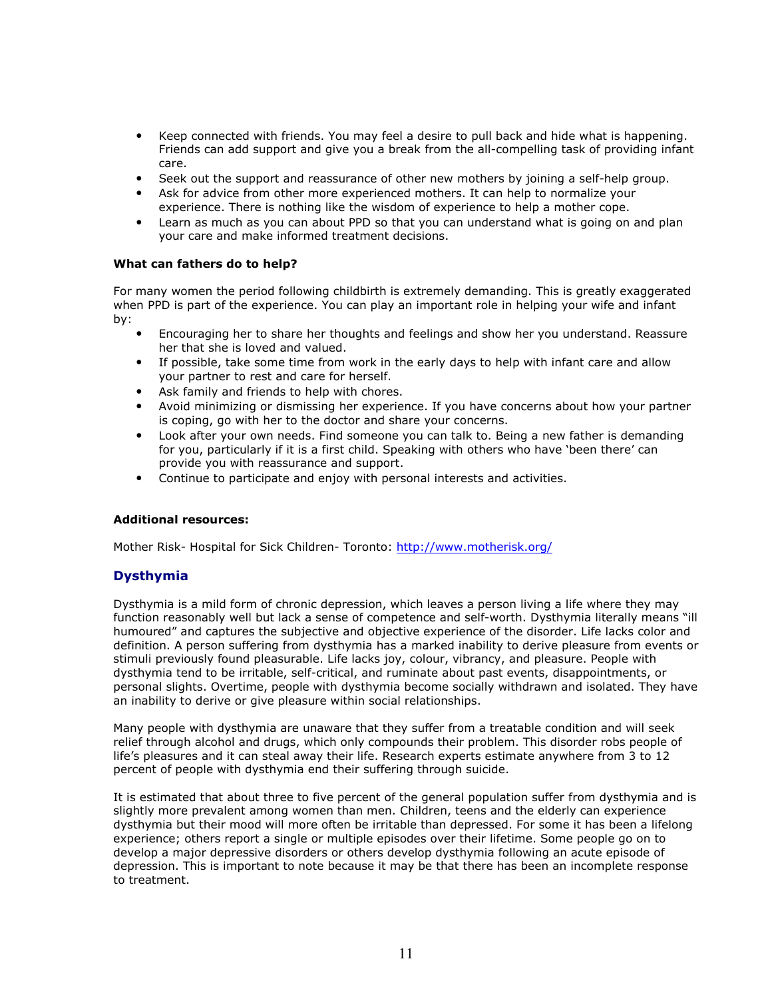- Keep connected with friends. You may feel a desire to pull back and hide what is happening. Friends can add support and give you a break from the all-compelling task of providing infant care.
- Seek out the support and reassurance of other new mothers by joining a self-help group.
- Ask for advice from other more experienced mothers. It can help to normalize your experience. There is nothing like the wisdom of experience to help a mother cope.
- Learn as much as you can about PPD so that you can understand what is going on and plan your care and make informed treatment decisions.

# What can fathers do to help?

For many women the period following childbirth is extremely demanding. This is greatly exaggerated when PPD is part of the experience. You can play an important role in helping your wife and infant by:

- Encouraging her to share her thoughts and feelings and show her you understand. Reassure her that she is loved and valued.
- If possible, take some time from work in the early days to help with infant care and allow your partner to rest and care for herself.
- Ask family and friends to help with chores.
- Avoid minimizing or dismissing her experience. If you have concerns about how your partner is coping, go with her to the doctor and share your concerns.
- Look after your own needs. Find someone you can talk to. Being a new father is demanding for you, particularly if it is a first child. Speaking with others who have 'been there' can provide you with reassurance and support.
- Continue to participate and enjoy with personal interests and activities.

### Additional resources:

Mother Risk- Hospital for Sick Children- Toronto: http://www.motherisk.org/

# Dysthymia

Dysthymia is a mild form of chronic depression, which leaves a person living a life where they may function reasonably well but lack a sense of competence and self-worth. Dysthymia literally means "ill humoured" and captures the subjective and objective experience of the disorder. Life lacks color and definition. A person suffering from dysthymia has a marked inability to derive pleasure from events or stimuli previously found pleasurable. Life lacks joy, colour, vibrancy, and pleasure. People with dysthymia tend to be irritable, self-critical, and ruminate about past events, disappointments, or personal slights. Overtime, people with dysthymia become socially withdrawn and isolated. They have an inability to derive or give pleasure within social relationships.

Many people with dysthymia are unaware that they suffer from a treatable condition and will seek relief through alcohol and drugs, which only compounds their problem. This disorder robs people of life's pleasures and it can steal away their life. Research experts estimate anywhere from 3 to 12 percent of people with dysthymia end their suffering through suicide.

It is estimated that about three to five percent of the general population suffer from dysthymia and is slightly more prevalent among women than men. Children, teens and the elderly can experience dysthymia but their mood will more often be irritable than depressed. For some it has been a lifelong experience; others report a single or multiple episodes over their lifetime. Some people go on to develop a major depressive disorders or others develop dysthymia following an acute episode of depression. This is important to note because it may be that there has been an incomplete response to treatment.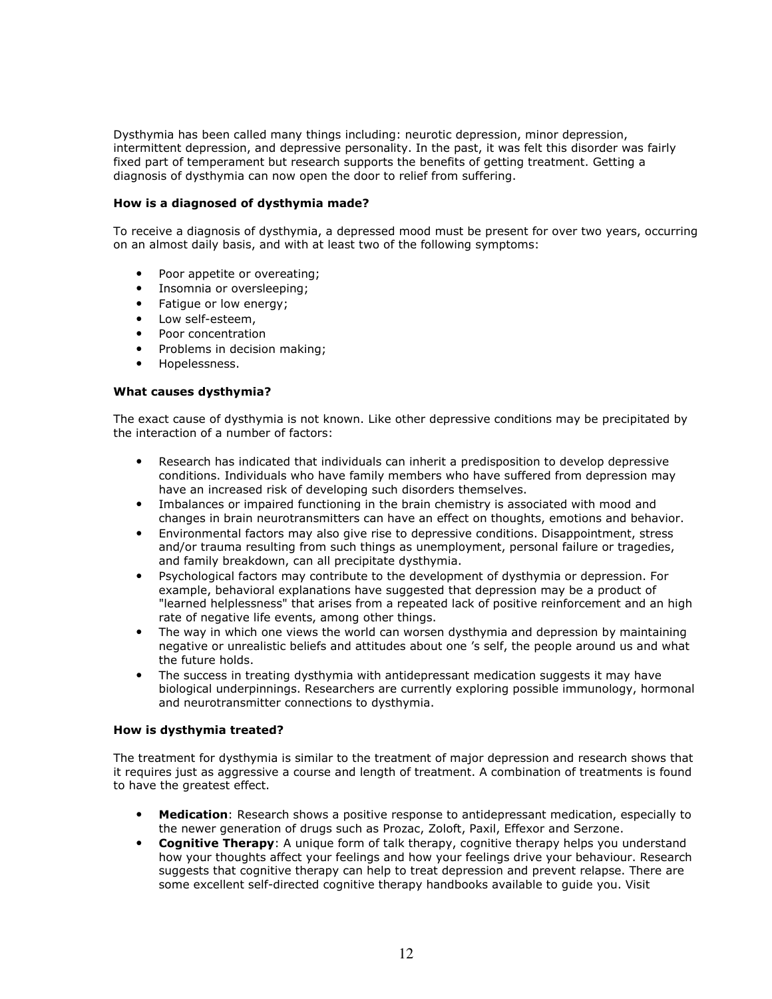Dysthymia has been called many things including: neurotic depression, minor depression, intermittent depression, and depressive personality. In the past, it was felt this disorder was fairly fixed part of temperament but research supports the benefits of getting treatment. Getting a diagnosis of dysthymia can now open the door to relief from suffering.

# How is a diagnosed of dysthymia made?

To receive a diagnosis of dysthymia, a depressed mood must be present for over two years, occurring on an almost daily basis, and with at least two of the following symptoms:

- Poor appetite or overeating;
- Insomnia or oversleeping;
- Fatigue or low energy;
- Low self-esteem.
- Poor concentration
- Problems in decision making;
- Hopelessness.

### What causes dysthymia?

The exact cause of dysthymia is not known. Like other depressive conditions may be precipitated by the interaction of a number of factors:

- Research has indicated that individuals can inherit a predisposition to develop depressive conditions. Individuals who have family members who have suffered from depression may have an increased risk of developing such disorders themselves.
- Imbalances or impaired functioning in the brain chemistry is associated with mood and changes in brain neurotransmitters can have an effect on thoughts, emotions and behavior.
- Environmental factors may also give rise to depressive conditions. Disappointment, stress and/or trauma resulting from such things as unemployment, personal failure or tragedies, and family breakdown, can all precipitate dysthymia.
- Psychological factors may contribute to the development of dysthymia or depression. For example, behavioral explanations have suggested that depression may be a product of "learned helplessness" that arises from a repeated lack of positive reinforcement and an high rate of negative life events, among other things.
- The way in which one views the world can worsen dysthymia and depression by maintaining negative or unrealistic beliefs and attitudes about one 's self, the people around us and what the future holds.
- The success in treating dysthymia with antidepressant medication suggests it may have biological underpinnings. Researchers are currently exploring possible immunology, hormonal and neurotransmitter connections to dysthymia.

### How is dysthymia treated?

The treatment for dysthymia is similar to the treatment of major depression and research shows that it requires just as aggressive a course and length of treatment. A combination of treatments is found to have the greatest effect.

- Medication: Research shows a positive response to antidepressant medication, especially to the newer generation of drugs such as Prozac, Zoloft, Paxil, Effexor and Serzone.
- Cognitive Therapy: A unique form of talk therapy, cognitive therapy helps you understand how your thoughts affect your feelings and how your feelings drive your behaviour. Research suggests that cognitive therapy can help to treat depression and prevent relapse. There are some excellent self-directed cognitive therapy handbooks available to guide you. Visit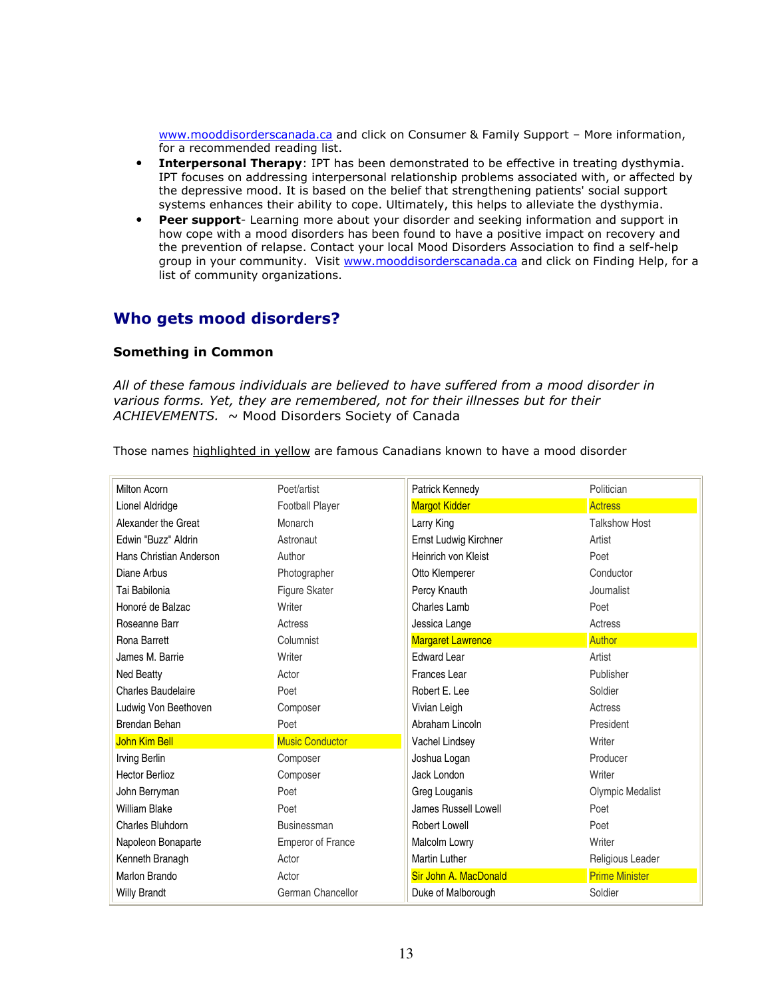www.mooddisorderscanada.ca and click on Consumer & Family Support - More information, for a recommended reading list.

- Interpersonal Therapy: IPT has been demonstrated to be effective in treating dysthymia. IPT focuses on addressing interpersonal relationship problems associated with, or affected by the depressive mood. It is based on the belief that strengthening patients' social support systems enhances their ability to cope. Ultimately, this helps to alleviate the dysthymia.
- **Peer support-** Learning more about your disorder and seeking information and support in how cope with a mood disorders has been found to have a positive impact on recovery and the prevention of relapse. Contact your local Mood Disorders Association to find a self-help group in your community. Visit www.mooddisorderscanada.ca and click on Finding Help, for a list of community organizations.

# Who gets mood disorders?

# Something in Common

All of these famous individuals are believed to have suffered from a mood disorder in various forms. Yet, they are remembered, not for their illnesses but for their  $ACHIEVEMENTS. ~ ~ Mood Disorders Society of Canada$ 

Those names highlighted in yellow are famous Canadians known to have a mood disorder

| <b>Milton Acorn</b>       | Poet/artist              | Patrick Kennedy          | Politician              |
|---------------------------|--------------------------|--------------------------|-------------------------|
| Lionel Aldridge           | <b>Football Player</b>   | <b>Margot Kidder</b>     | <b>Actress</b>          |
| Alexander the Great       | Monarch                  | Larry King               | <b>Talkshow Host</b>    |
| Edwin "Buzz" Aldrin       | Astronaut                | Ernst Ludwig Kirchner    | Artist                  |
| Hans Christian Anderson   | Author                   | Heinrich von Kleist      | Poet                    |
| Diane Arbus               | Photographer             | Otto Klemperer           | Conductor               |
| Tai Babilonia             | Figure Skater            | Percy Knauth             | Journalist              |
| Honoré de Balzac          | Writer                   | Charles Lamb             | Poet                    |
| Roseanne Barr             | Actress                  | Jessica Lange            | Actress                 |
| Rona Barrett              | Columnist                | <b>Margaret Lawrence</b> | <b>Author</b>           |
| James M. Barrie           | Writer                   | <b>Edward Lear</b>       | Artist                  |
| Ned Beatty                | Actor                    | Frances Lear             | Publisher               |
| <b>Charles Baudelaire</b> | Poet                     | Robert E. Lee            | Soldier                 |
| Ludwig Von Beethoven      | Composer                 | Vivian Leigh             | Actress                 |
| Brendan Behan             | Poet                     | Abraham Lincoln          | President               |
| John Kim Bell             | <b>Music Conductor</b>   | Vachel Lindsey           | Writer                  |
| Irving Berlin             | Composer                 | Joshua Logan             | Producer                |
| <b>Hector Berlioz</b>     | Composer                 | Jack London              | Writer                  |
| John Berryman             | Poet                     | Greg Louganis            | <b>Olympic Medalist</b> |
| <b>William Blake</b>      | Poet                     | James Russell Lowell     | Poet                    |
| Charles Bluhdorn          | Businessman              | <b>Robert Lowell</b>     | Poet                    |
| Napoleon Bonaparte        | <b>Emperor of France</b> | Malcolm Lowry            | Writer                  |
| Kenneth Branagh           | Actor                    | <b>Martin Luther</b>     | Religious Leader        |
| Marlon Brando             | Actor                    | Sir John A. MacDonald    | <b>Prime Minister</b>   |
| <b>Willy Brandt</b>       | German Chancellor        | Duke of Malborough       | Soldier                 |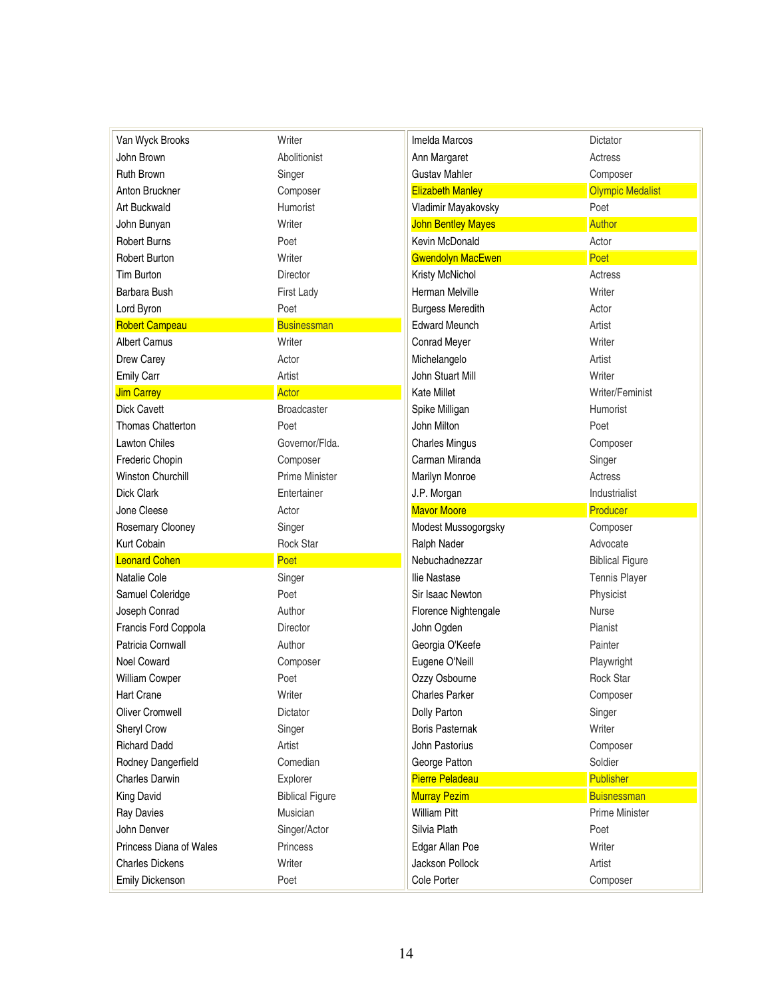| Van Wyck Brooks         | Writer                 | Imelda Marcos             | Dictator                |
|-------------------------|------------------------|---------------------------|-------------------------|
| John Brown              | Abolitionist           | Ann Margaret              | Actress                 |
| <b>Ruth Brown</b>       | Singer                 | <b>Gustav Mahler</b>      | Composer                |
| Anton Bruckner          | Composer               | <b>Elizabeth Manley</b>   | <b>Olympic Medalist</b> |
| Art Buckwald            | Humorist               | Vladimir Mayakovsky       | Poet                    |
| John Bunyan             | Writer                 | <b>John Bentley Mayes</b> | <b>Author</b>           |
| <b>Robert Burns</b>     | Poet                   | Kevin McDonald            | Actor                   |
| <b>Robert Burton</b>    | Writer                 | <b>Gwendolyn MacEwen</b>  | Poet                    |
| <b>Tim Burton</b>       | <b>Director</b>        | Kristy McNichol           | Actress                 |
| Barbara Bush            | First Lady             | Herman Melville           | Writer                  |
| Lord Byron              | Poet                   | <b>Burgess Meredith</b>   | Actor                   |
| <b>Robert Campeau</b>   | <b>Businessman</b>     | <b>Edward Meunch</b>      | Artist                  |
| <b>Albert Camus</b>     | Writer                 | Conrad Meyer              | Writer                  |
| Drew Carey              | Actor                  | Michelangelo              | Artist                  |
| Emily Carr              | Artist                 | John Stuart Mill          | Writer                  |
| <b>Jim Carrey</b>       | Actor                  | <b>Kate Millet</b>        | Writer/Feminist         |
| <b>Dick Cavett</b>      | <b>Broadcaster</b>     | Spike Milligan            | Humorist                |
| Thomas Chatterton       | Poet                   | John Milton               | Poet                    |
| <b>Lawton Chiles</b>    | Governor/Flda.         | <b>Charles Mingus</b>     | Composer                |
| Frederic Chopin         | Composer               | Carman Miranda            | Singer                  |
| Winston Churchill       | <b>Prime Minister</b>  | Marilyn Monroe            | Actress                 |
| Dick Clark              | Entertainer            | J.P. Morgan               | Industrialist           |
|                         |                        |                           |                         |
| Jone Cleese             | Actor                  | <b>Mavor Moore</b>        | Producer                |
| Rosemary Clooney        | Singer                 | Modest Mussogorgsky       | Composer                |
| Kurt Cobain             | <b>Rock Star</b>       | Ralph Nader               | Advocate                |
| <b>Leonard Cohen</b>    | Poet                   | Nebuchadnezzar            | <b>Biblical Figure</b>  |
| Natalie Cole            | Singer                 | Ilie Nastase              | <b>Tennis Player</b>    |
| Samuel Coleridge        | Poet                   | Sir Isaac Newton          | Physicist               |
| Joseph Conrad           | Author                 | Florence Nightengale      | <b>Nurse</b>            |
| Francis Ford Coppola    | <b>Director</b>        | John Ogden                | Pianist                 |
| Patricia Cornwall       | Author                 | Georgia O'Keefe           | Painter                 |
| Noel Coward             | Composer               | Eugene O'Neill            | Playwright              |
| William Cowper          | Poet                   | Ozzy Osbourne             | <b>Rock Star</b>        |
| Hart Crane              | Writer                 | <b>Charles Parker</b>     | Composer                |
| <b>Oliver Cromwell</b>  | Dictator               | Dolly Parton              | Singer                  |
| Sheryl Crow             | Singer                 | <b>Boris Pasternak</b>    | Writer                  |
| <b>Richard Dadd</b>     | Artist                 | John Pastorius            | Composer                |
| Rodney Dangerfield      | Comedian               | George Patton             | Soldier                 |
| <b>Charles Darwin</b>   | Explorer               | <b>Pierre Peladeau</b>    | <b>Publisher</b>        |
| <b>King David</b>       | <b>Biblical Figure</b> | <b>Murray Pezim</b>       | <b>Buisnessman</b>      |
| <b>Ray Davies</b>       | Musician               | <b>William Pitt</b>       | <b>Prime Minister</b>   |
| John Denver             | Singer/Actor           | Silvia Plath              | Poet                    |
| Princess Diana of Wales | Princess               | Edgar Allan Poe           | Writer                  |
| <b>Charles Dickens</b>  | Writer                 | Jackson Pollock           | Artist                  |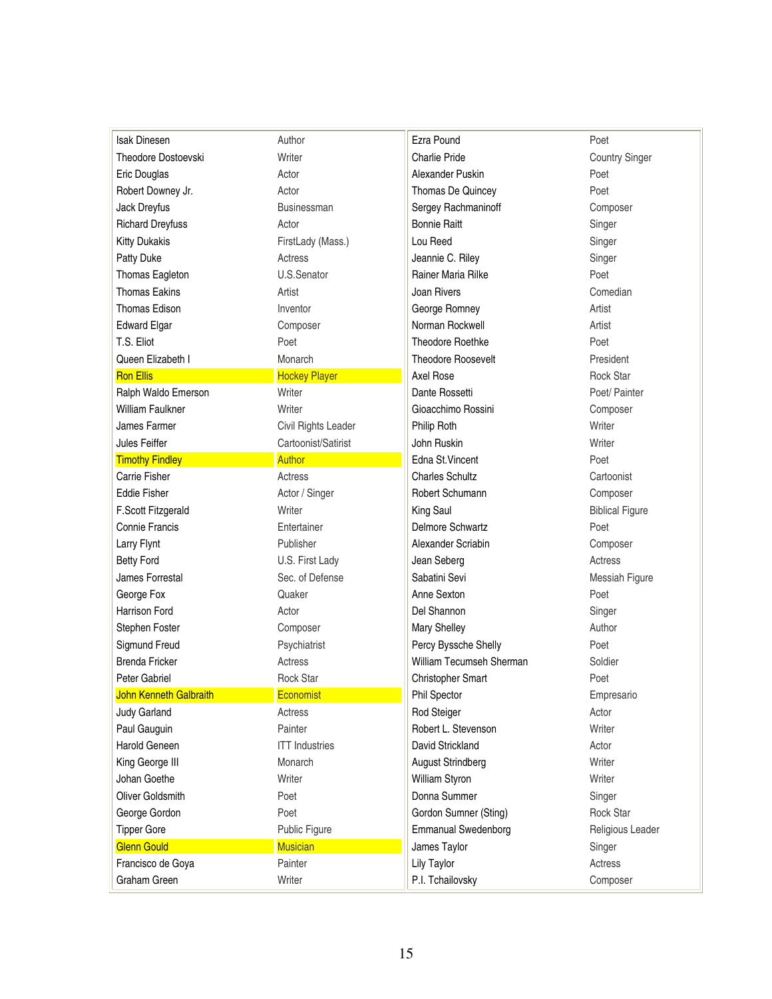| <b>Isak Dinesen</b>        | Author                | Ezra Pound                 | Poet                   |
|----------------------------|-----------------------|----------------------------|------------------------|
| <b>Theodore Dostoevski</b> | Writer                | <b>Charlie Pride</b>       | <b>Country Singer</b>  |
| Eric Douglas               | Actor                 | Alexander Puskin           | Poet                   |
| Robert Downey Jr.          | Actor                 | Thomas De Quincey          | Poet                   |
| Jack Dreyfus               | Businessman           | Sergey Rachmaninoff        | Composer               |
| <b>Richard Dreyfuss</b>    | Actor                 | <b>Bonnie Raitt</b>        | Singer                 |
| <b>Kitty Dukakis</b>       | FirstLady (Mass.)     | Lou Reed                   | Singer                 |
| Patty Duke                 | <b>Actress</b>        | Jeannie C. Riley           | Singer                 |
| Thomas Eagleton            | U.S.Senator           | Rainer Maria Rilke         | Poet                   |
| <b>Thomas Eakins</b>       | Artist                | Joan Rivers                | Comedian               |
| <b>Thomas Edison</b>       | Inventor              | George Romney              | Artist                 |
| <b>Edward Elgar</b>        | Composer              | Norman Rockwell            | Artist                 |
| T.S. Eliot                 | Poet                  | Theodore Roethke           | Poet                   |
| Queen Elizabeth I          | Monarch               | <b>Theodore Roosevelt</b>  | President              |
| <b>Ron Ellis</b>           | <b>Hockey Player</b>  | Axel Rose                  | <b>Rock Star</b>       |
| Ralph Waldo Emerson        | Writer                | Dante Rossetti             | Poet/ Painter          |
| <b>William Faulkner</b>    | Writer                | Gioacchimo Rossini         | Composer               |
| James Farmer               | Civil Rights Leader   | Philip Roth                | Writer                 |
| Jules Feiffer              | Cartoonist/Satirist   | John Ruskin                | Writer                 |
| <b>Timothy Findley</b>     | <b>Author</b>         | Edna St.Vincent            | Poet                   |
| Carrie Fisher              | Actress               | <b>Charles Schultz</b>     | Cartoonist             |
| <b>Eddie Fisher</b>        | Actor / Singer        | Robert Schumann            | Composer               |
| F.Scott Fitzgerald         | Writer                | King Saul                  | <b>Biblical Figure</b> |
| Connie Francis             | Entertainer           | <b>Delmore Schwartz</b>    | Poet                   |
| Larry Flynt                | Publisher             | Alexander Scriabin         | Composer               |
| <b>Betty Ford</b>          | U.S. First Lady       | Jean Seberg                | Actress                |
| James Forrestal            | Sec. of Defense       | Sabatini Sevi              | Messiah Figure         |
| George Fox                 | Quaker                | Anne Sexton                | Poet                   |
| <b>Harrison Ford</b>       | Actor                 | Del Shannon                | Singer                 |
| Stephen Foster             | Composer              | Mary Shelley               | Author                 |
| Sigmund Freud              | Psychiatrist          | Percy Byssche Shelly       | Poet                   |
| <b>Brenda Fricker</b>      | Actress               | William Tecumseh Sherman   | Soldier                |
| Peter Gabriel              | <b>Rock Star</b>      | <b>Christopher Smart</b>   | Poet                   |
| John Kenneth Galbraith     | Economist             | Phil Spector               | Empresario             |
| <b>Judy Garland</b>        | Actress               | <b>Rod Steiger</b>         | Actor                  |
| Paul Gauguin               | Painter               | Robert L. Stevenson        | Writer                 |
| <b>Harold Geneen</b>       | <b>ITT</b> Industries | David Strickland           | Actor                  |
| King George III            | Monarch               | <b>August Strindberg</b>   | Writer                 |
| Johan Goethe               | Writer                | William Styron             | Writer                 |
| Oliver Goldsmith           | Poet                  | Donna Summer               | Singer                 |
| George Gordon              | Poet                  | Gordon Sumner (Sting)      | <b>Rock Star</b>       |
| <b>Tipper Gore</b>         | Public Figure         | <b>Emmanual Swedenborg</b> | Religious Leader       |
| <b>Glenn Gould</b>         | <b>Musician</b>       | James Taylor               | Singer                 |
| Francisco de Goya          | Painter               | Lily Taylor                | Actress                |
| Graham Green               | Writer                | P.I. Tchailovsky           | Composer               |